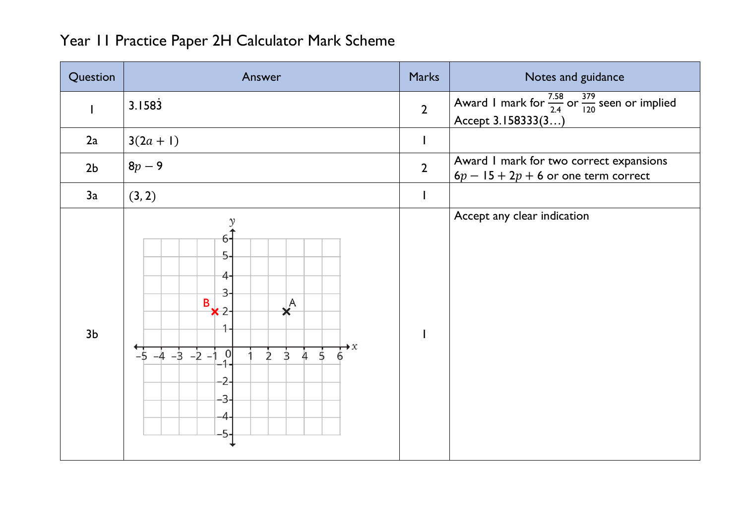| Year II Practice Paper 2H Calculator Mark Scheme |  |
|--------------------------------------------------|--|
|--------------------------------------------------|--|

| Question       | Answer                                                                                                                                                                                                   | <b>Marks</b>             | Notes and guidance                                                                             |
|----------------|----------------------------------------------------------------------------------------------------------------------------------------------------------------------------------------------------------|--------------------------|------------------------------------------------------------------------------------------------|
|                | 3.1583                                                                                                                                                                                                   | $\overline{2}$           | Award I mark for $\frac{7.58}{2.4}$ or $\frac{379}{120}$ seen or implied<br>Accept 3.158333(3) |
| 2a             | $3(2a + 1)$                                                                                                                                                                                              | $\mathsf{l}$             |                                                                                                |
| 2 <sub>b</sub> | $8p-9$                                                                                                                                                                                                   | $\overline{2}$           | Award I mark for two correct expansions<br>$6p - 15 + 2p + 6$ or one term correct              |
| 3a             | (3, 2)                                                                                                                                                                                                   | $\overline{\phantom{a}}$ |                                                                                                |
| 3 <sub>b</sub> | $\mathcal{Y}$<br>6.<br>5<br>4<br>3<br>B<br>$\star^A$<br>$x^2$<br>1<br>$\overrightarrow{6}^x$<br>$-5$ $-4$ $-3$ $-2$ $-1$<br>$\overline{0}$<br>$\overline{5}$<br>$\overline{3}$<br>4<br>D<br>-3<br>4<br>5 |                          | Accept any clear indication                                                                    |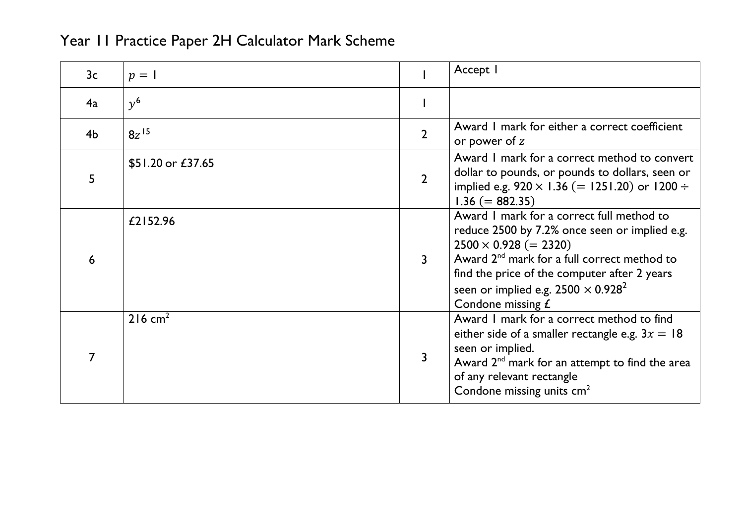| 3 <sub>c</sub> | $p = 1$            |                | Accept I                                                                                                                                                                                                                                                                                            |
|----------------|--------------------|----------------|-----------------------------------------------------------------------------------------------------------------------------------------------------------------------------------------------------------------------------------------------------------------------------------------------------|
| 4a             | $v^6$              |                |                                                                                                                                                                                                                                                                                                     |
| 4 <sub>b</sub> | $8z^{15}$          | $\overline{2}$ | Award I mark for either a correct coefficient<br>or power of $z$                                                                                                                                                                                                                                    |
| 5              | \$51.20 or £37.65  | $\overline{2}$ | Award I mark for a correct method to convert<br>dollar to pounds, or pounds to dollars, seen or<br>implied e.g. $920 \times 1.36$ (= 1251.20) or 1200 ÷<br>$1.36 (= 882.35)$                                                                                                                        |
| 6              | £2152.96           | 3              | Award I mark for a correct full method to<br>reduce 2500 by 7.2% once seen or implied e.g.<br>$2500 \times 0.928 (= 2320)$<br>Award $2^{nd}$ mark for a full correct method to<br>find the price of the computer after 2 years<br>seen or implied e.g. $2500 \times 0.928^2$<br>Condone missing $E$ |
|                | $216 \text{ cm}^2$ | 3              | Award I mark for a correct method to find<br>either side of a smaller rectangle e.g. $3x = 18$<br>seen or implied.<br>Award 2 <sup>nd</sup> mark for an attempt to find the area<br>of any relevant rectangle<br>Condone missing units cm <sup>2</sup>                                              |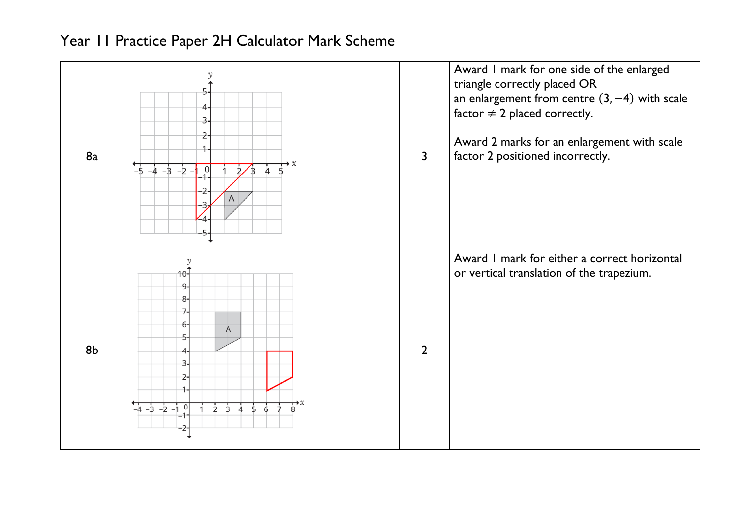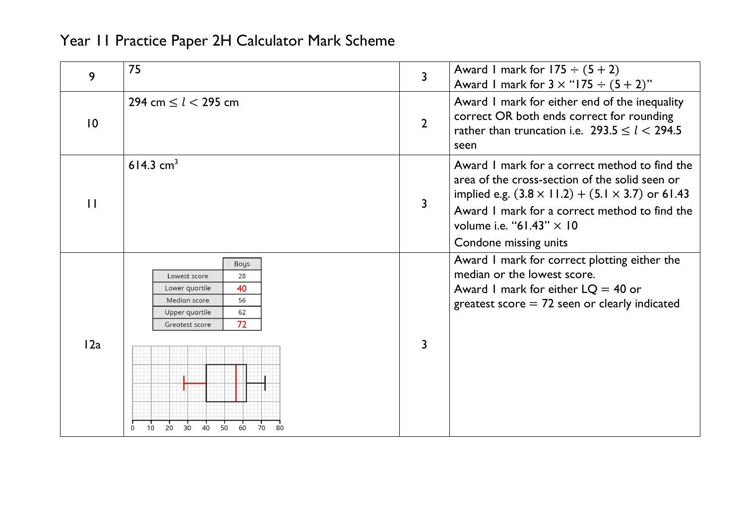| 9               | 75                                                                                                                                                                                    | $\overline{3}$ | Award I mark for $175 \div (5 + 2)$<br>Award 1 mark for $3 \times$ "175 $\div$ $(5 + 2)$ "                                                                                                                                                                                   |
|-----------------|---------------------------------------------------------------------------------------------------------------------------------------------------------------------------------------|----------------|------------------------------------------------------------------------------------------------------------------------------------------------------------------------------------------------------------------------------------------------------------------------------|
| $\overline{10}$ | 294 cm $\le l \le 295$ cm                                                                                                                                                             | $\overline{2}$ | Award I mark for either end of the inequality<br>correct OR both ends correct for rounding<br>rather than truncation i.e. $293.5 \le l < 294.5$<br>seen                                                                                                                      |
| $\mathbf{1}$    | 614.3 $cm3$                                                                                                                                                                           | 3              | Award I mark for a correct method to find the<br>area of the cross-section of the solid seen or<br>implied e.g. $(3.8 \times 11.2) + (5.1 \times 3.7)$ or 61.43<br>Award I mark for a correct method to find the<br>volume i.e. "61.43" $\times$ 10<br>Condone missing units |
| 12a             | Boys<br>Lowest score<br>28<br>40<br>Lower quartile<br>Median score<br>56<br>Upper quartile<br>62<br>72<br>Greatest score<br>30<br>20<br>10 <sup>1</sup><br>50<br>40<br>60<br>70<br>80 | 3              | Award I mark for correct plotting either the<br>median or the lowest score.<br>Award I mark for either $LQ = 40$ or<br>greatest score $= 72$ seen or clearly indicated                                                                                                       |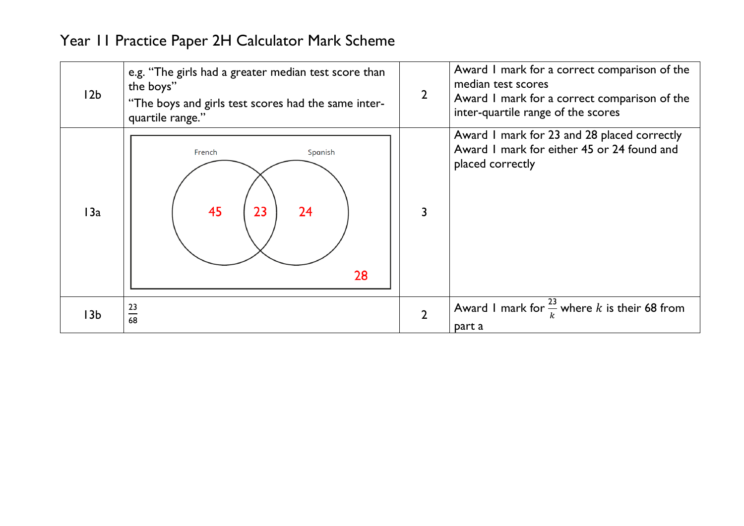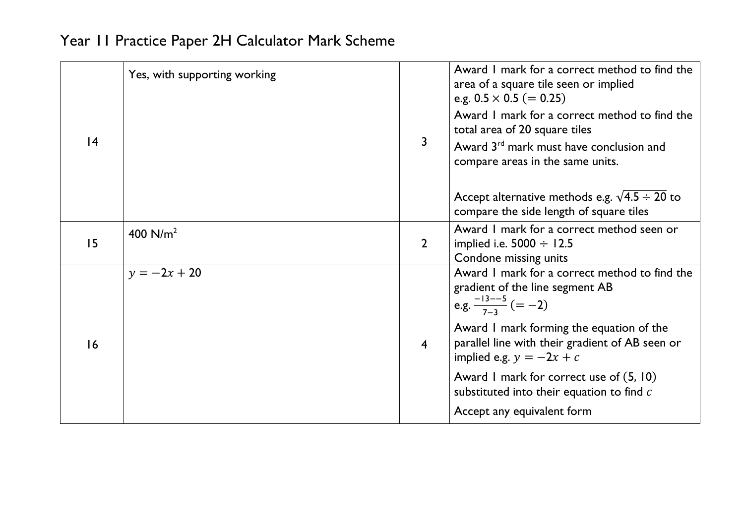| 4  | Yes, with supporting working | 3              | Award I mark for a correct method to find the<br>area of a square tile seen or implied<br>e.g. $0.5 \times 0.5 (= 0.25)$<br>Award I mark for a correct method to find the<br>total area of 20 square tiles<br>Award 3 <sup>rd</sup> mark must have conclusion and<br>compare areas in the same units. |
|----|------------------------------|----------------|-------------------------------------------------------------------------------------------------------------------------------------------------------------------------------------------------------------------------------------------------------------------------------------------------------|
|    |                              |                | Accept alternative methods e.g. $\sqrt{4.5 \div 20}$ to<br>compare the side length of square tiles                                                                                                                                                                                                    |
| 15 | 400 $N/m^2$                  | $\overline{2}$ | Award I mark for a correct method seen or<br>implied i.e. $5000 \div 12.5$<br>Condone missing units                                                                                                                                                                                                   |
| 16 | $y = -2x + 20$               | $\overline{4}$ | Award I mark for a correct method to find the<br>gradient of the line segment AB<br>e.g. $\frac{-13-5}{7-3}$ (= -2)<br>Award I mark forming the equation of the<br>parallel line with their gradient of AB seen or<br>implied e.g. $y = -2x + c$<br>Award I mark for correct use of (5, 10)           |
|    |                              |                | substituted into their equation to find $c$<br>Accept any equivalent form                                                                                                                                                                                                                             |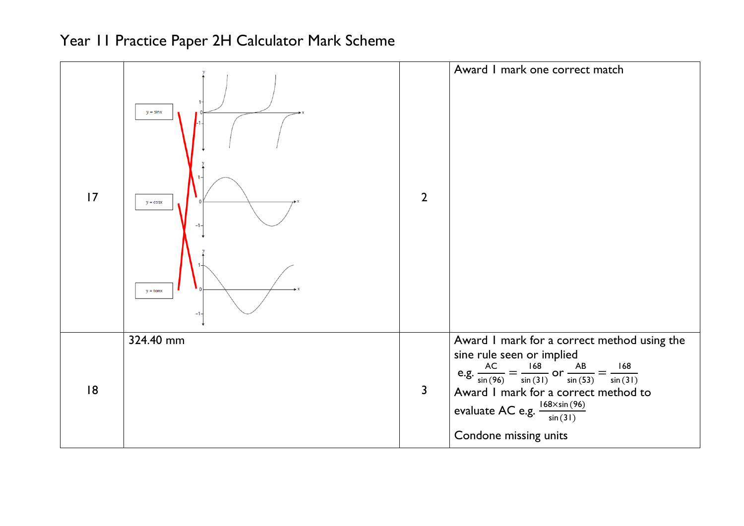| 17 | $y = \sin x$<br>$y = \cos x$<br>$y = tan x$<br>-1- | $\overline{2}$ | Award I mark one correct match                                                                                                                                                                                                                                                                            |
|----|----------------------------------------------------|----------------|-----------------------------------------------------------------------------------------------------------------------------------------------------------------------------------------------------------------------------------------------------------------------------------------------------------|
| 18 | 324.40 mm                                          | 3              | Award I mark for a correct method using the<br>sine rule seen or implied<br>e.g. $\frac{AC}{\sin(96)} = \frac{168}{\sin(31)}$ or $\frac{AB}{\sin(53)} = \frac{168}{\sin(31)}$<br>Award I mark for a correct method to<br>evaluate AC e.g. $\frac{168 \times \sin(96)}{\sin(31)}$<br>Condone missing units |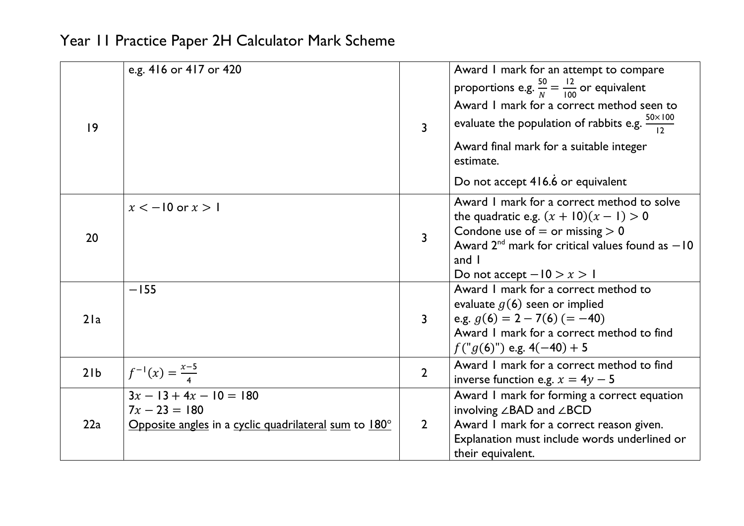| 9   | e.g. 416 or 417 or 420                                |                | Award I mark for an attempt to compare                           |
|-----|-------------------------------------------------------|----------------|------------------------------------------------------------------|
|     |                                                       |                | proportions e.g. $\frac{50}{N} = \frac{12}{100}$ or equivalent   |
|     |                                                       |                | Award I mark for a correct method seen to                        |
|     |                                                       | $\overline{3}$ | evaluate the population of rabbits e.g. $\frac{50\times100}{12}$ |
|     |                                                       |                | Award final mark for a suitable integer<br>estimate.             |
|     |                                                       |                | Do not accept 416.6 or equivalent                                |
|     | $x < -10$ or $x > 1$                                  |                | Award I mark for a correct method to solve                       |
|     |                                                       |                | the quadratic e.g. $(x + 10)(x - 1) > 0$                         |
| 20  |                                                       | $\overline{3}$ | Condone use of $=$ or missing $> 0$                              |
|     |                                                       |                | Award $2^{nd}$ mark for critical values found as $-10$           |
|     |                                                       |                | and $\overline{\phantom{a}}$                                     |
|     |                                                       |                | Do not accept $-10 > x > 1$                                      |
|     | $-155$                                                |                | Award I mark for a correct method to                             |
|     |                                                       |                | evaluate $g(6)$ seen or implied                                  |
| 21a |                                                       | $\overline{3}$ | e.g. $g(6) = 2 - 7(6) (= -40)$                                   |
|     |                                                       |                | Award I mark for a correct method to find                        |
|     |                                                       |                | $f("g(6)")$ e.g. $4(-40) + 5$                                    |
|     | $f^{-1}(x) = \frac{x-5}{4}$                           |                | Award I mark for a correct method to find                        |
| 21b |                                                       | $\overline{2}$ | inverse function e.g. $x = 4y - 5$                               |
| 22a | $3x - 13 + 4x - 10 = 180$                             |                | Award I mark for forming a correct equation                      |
|     | $7x - 23 = 180$                                       |                | involving ∠BAD and ∠BCD                                          |
|     | Opposite angles in a cyclic quadrilateral sum to 180° | $\overline{2}$ | Award I mark for a correct reason given.                         |
|     |                                                       |                | Explanation must include words underlined or                     |
|     |                                                       |                | their equivalent.                                                |